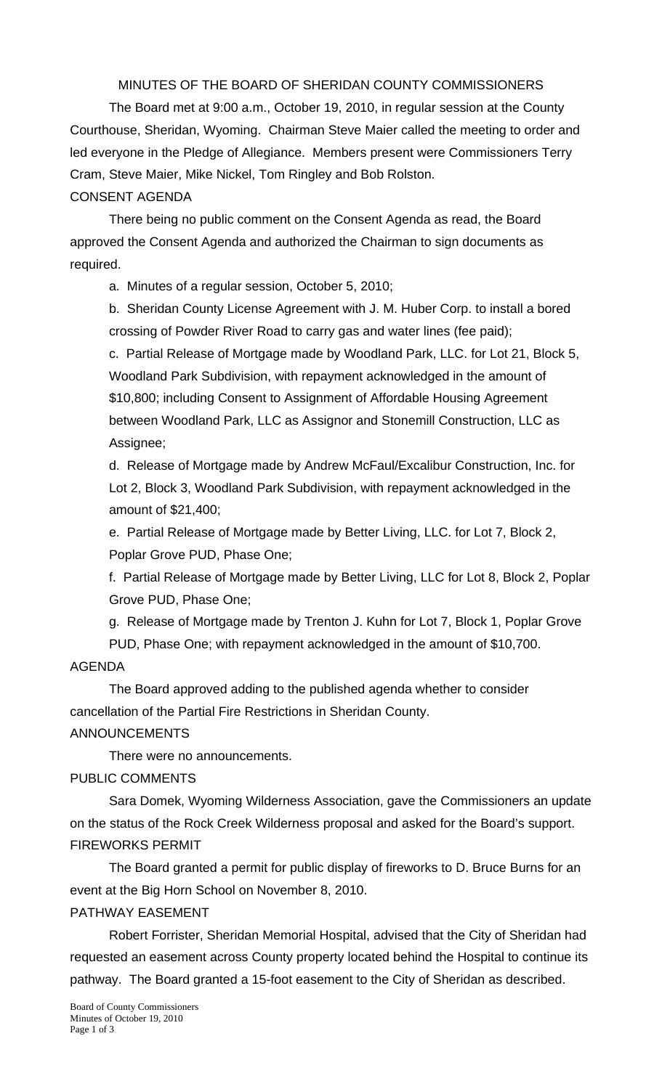MINUTES OF THE BOARD OF SHERIDAN COUNTY COMMISSIONERS

 The Board met at 9:00 a.m., October 19, 2010, in regular session at the County Courthouse, Sheridan, Wyoming. Chairman Steve Maier called the meeting to order and led everyone in the Pledge of Allegiance. Members present were Commissioners Terry Cram, Steve Maier, Mike Nickel, Tom Ringley and Bob Rolston.

# CONSENT AGENDA

There being no public comment on the Consent Agenda as read, the Board approved the Consent Agenda and authorized the Chairman to sign documents as required.

a. Minutes of a regular session, October 5, 2010;

b. Sheridan County License Agreement with J. M. Huber Corp. to install a bored crossing of Powder River Road to carry gas and water lines (fee paid);

c. Partial Release of Mortgage made by Woodland Park, LLC. for Lot 21, Block 5, Woodland Park Subdivision, with repayment acknowledged in the amount of \$10,800; including Consent to Assignment of Affordable Housing Agreement between Woodland Park, LLC as Assignor and Stonemill Construction, LLC as Assignee;

d. Release of Mortgage made by Andrew McFaul/Excalibur Construction, Inc. for Lot 2, Block 3, Woodland Park Subdivision, with repayment acknowledged in the amount of \$21,400;

e. Partial Release of Mortgage made by Better Living, LLC. for Lot 7, Block 2, Poplar Grove PUD, Phase One;

f. Partial Release of Mortgage made by Better Living, LLC for Lot 8, Block 2, Poplar Grove PUD, Phase One;

g. Release of Mortgage made by Trenton J. Kuhn for Lot 7, Block 1, Poplar Grove PUD, Phase One; with repayment acknowledged in the amount of \$10,700.

# AGENDA

The Board approved adding to the published agenda whether to consider cancellation of the Partial Fire Restrictions in Sheridan County.

ANNOUNCEMENTS

There were no announcements.

PUBLIC COMMENTS

 Sara Domek, Wyoming Wilderness Association, gave the Commissioners an update on the status of the Rock Creek Wilderness proposal and asked for the Board's support. FIREWORKS PERMIT

 The Board granted a permit for public display of fireworks to D. Bruce Burns for an event at the Big Horn School on November 8, 2010.

# PATHWAY EASEMENT

 Robert Forrister, Sheridan Memorial Hospital, advised that the City of Sheridan had requested an easement across County property located behind the Hospital to continue its pathway. The Board granted a 15-foot easement to the City of Sheridan as described.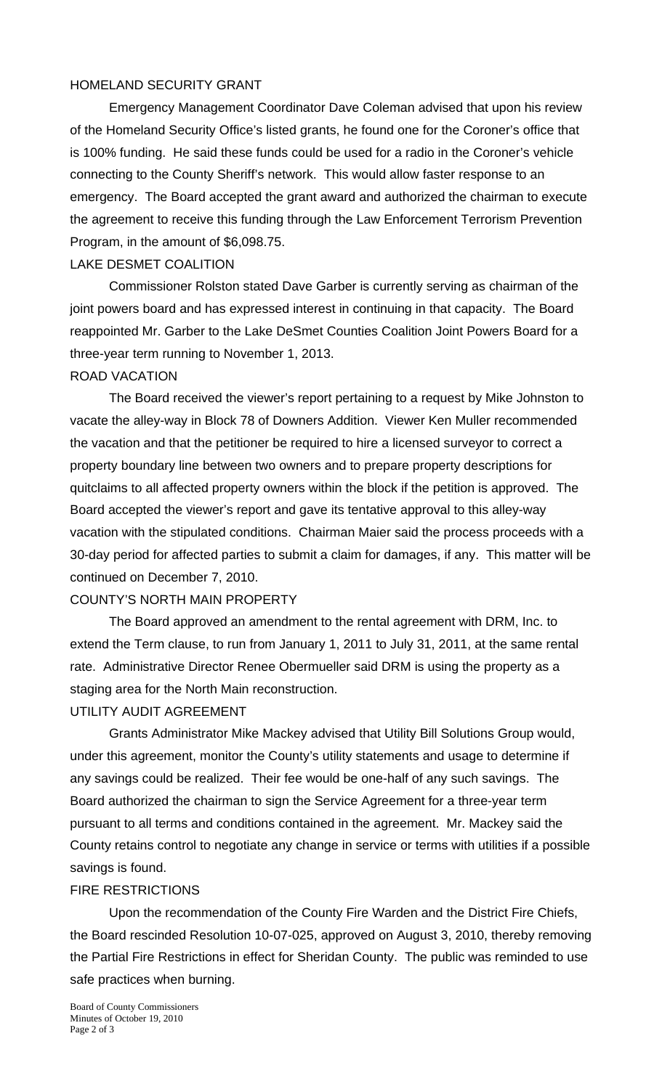## HOMELAND SECURITY GRANT

 Emergency Management Coordinator Dave Coleman advised that upon his review of the Homeland Security Office's listed grants, he found one for the Coroner's office that is 100% funding. He said these funds could be used for a radio in the Coroner's vehicle connecting to the County Sheriff's network. This would allow faster response to an emergency. The Board accepted the grant award and authorized the chairman to execute the agreement to receive this funding through the Law Enforcement Terrorism Prevention Program, in the amount of \$6,098.75.

#### LAKE DESMET COALITION

 Commissioner Rolston stated Dave Garber is currently serving as chairman of the joint powers board and has expressed interest in continuing in that capacity. The Board reappointed Mr. Garber to the Lake DeSmet Counties Coalition Joint Powers Board for a three-year term running to November 1, 2013.

#### ROAD VACATION

 The Board received the viewer's report pertaining to a request by Mike Johnston to vacate the alley-way in Block 78 of Downers Addition. Viewer Ken Muller recommended the vacation and that the petitioner be required to hire a licensed surveyor to correct a property boundary line between two owners and to prepare property descriptions for quitclaims to all affected property owners within the block if the petition is approved. The Board accepted the viewer's report and gave its tentative approval to this alley-way vacation with the stipulated conditions. Chairman Maier said the process proceeds with a 30-day period for affected parties to submit a claim for damages, if any. This matter will be continued on December 7, 2010.

#### COUNTY'S NORTH MAIN PROPERTY

 The Board approved an amendment to the rental agreement with DRM, Inc. to extend the Term clause, to run from January 1, 2011 to July 31, 2011, at the same rental rate. Administrative Director Renee Obermueller said DRM is using the property as a staging area for the North Main reconstruction.

#### UTILITY AUDIT AGREEMENT

 Grants Administrator Mike Mackey advised that Utility Bill Solutions Group would, under this agreement, monitor the County's utility statements and usage to determine if any savings could be realized. Their fee would be one-half of any such savings. The Board authorized the chairman to sign the Service Agreement for a three-year term pursuant to all terms and conditions contained in the agreement. Mr. Mackey said the County retains control to negotiate any change in service or terms with utilities if a possible savings is found.

## FIRE RESTRICTIONS

 Upon the recommendation of the County Fire Warden and the District Fire Chiefs, the Board rescinded Resolution 10-07-025, approved on August 3, 2010, thereby removing the Partial Fire Restrictions in effect for Sheridan County. The public was reminded to use safe practices when burning.